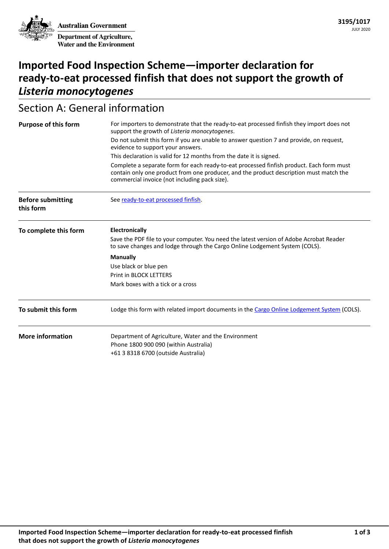**Australian Government Department of Agriculture, Water and the Environment**

# **Imported Food Inspection Scheme—importer declaration for ready-to-eat processed finfish that does not support the growth of**  *Listeria monocytogenes*

# Section A: General information

| <b>Purpose of this form</b>           | For importers to demonstrate that the ready-to-eat processed finfish they import does not<br>support the growth of Listeria monocytogenes.                                                                                          |  |  |
|---------------------------------------|-------------------------------------------------------------------------------------------------------------------------------------------------------------------------------------------------------------------------------------|--|--|
|                                       | Do not submit this form if you are unable to answer question 7 and provide, on request,<br>evidence to support your answers.                                                                                                        |  |  |
|                                       | This declaration is valid for 12 months from the date it is signed.                                                                                                                                                                 |  |  |
|                                       | Complete a separate form for each ready-to-eat processed finfish product. Each form must<br>contain only one product from one producer, and the product description must match the<br>commercial invoice (not including pack size). |  |  |
| <b>Before submitting</b><br>this form | See ready-to-eat processed finfish.                                                                                                                                                                                                 |  |  |
| To complete this form                 | Electronically                                                                                                                                                                                                                      |  |  |
|                                       | Save the PDF file to your computer. You need the latest version of Adobe Acrobat Reader<br>to save changes and lodge through the Cargo Online Lodgement System (COLS).                                                              |  |  |
|                                       | <b>Manually</b>                                                                                                                                                                                                                     |  |  |
|                                       | Use black or blue pen                                                                                                                                                                                                               |  |  |
|                                       | <b>Print in BLOCK LETTERS</b>                                                                                                                                                                                                       |  |  |
|                                       | Mark boxes with a tick or a cross                                                                                                                                                                                                   |  |  |
| To submit this form                   | Lodge this form with related import documents in the Cargo Online Lodgement System (COLS).                                                                                                                                          |  |  |
| <b>More information</b>               | Department of Agriculture, Water and the Environment                                                                                                                                                                                |  |  |
|                                       | Phone 1800 900 090 (within Australia)                                                                                                                                                                                               |  |  |
|                                       | +61 3 8318 6700 (outside Australia)                                                                                                                                                                                                 |  |  |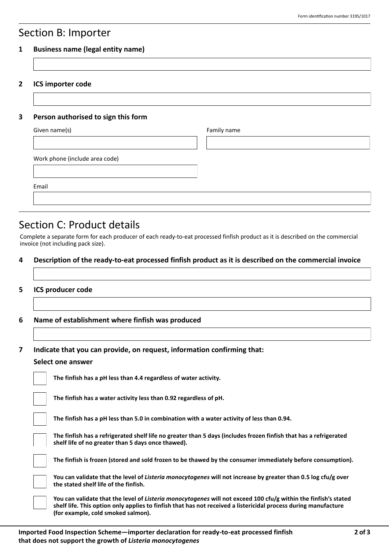### Section B: Importer

#### **1 Business name (legal entity name)**

**2 ICS importer code**

#### **3 Person authorised to sign this form**

| Given name(s)                  | Family name |
|--------------------------------|-------------|
|                                |             |
|                                |             |
| Work phone (include area code) |             |
|                                |             |
|                                |             |
| Email                          |             |
|                                |             |
|                                |             |

## Section C: Product details

Complete a separate form for each producer of each ready-to-eat processed finfish product as it is described on the commercial invoice (not including pack size).

#### **4 Description of the ready-to-eat processed finfish product as it is described on the commercial invoice**

#### **5 ICS producer code**

**6 Name of establishment where finfish was produced**

**7 Indicate that you can provide, on request, information confirming that:**

#### **Select one answer**

|  | The finfish has a pH less than 4.4 regardless of water activity.      |
|--|-----------------------------------------------------------------------|
|  | The finfish has a water activity less than 0.92 regardless of pH      |
|  | <b>The finfish has a pH less than 5.0 in combination with a water</b> |

**The fingile final 5.0 in combination with a water activity of less than 0.94.** 

**The finfish has a refrigerated shelf life no greater than 5 days (includes frozen finfish that has a refrigerated shelf life of no greater than 5 days once thawed).**

**The finfish is frozen (stored and sold frozen to be thawed by the consumer immediately before consumption).**

**You can validate that the level of** *Listeria monocytogenes* **will not increase by greater than 0.5 log cfu/g over the stated shelf life of the finfish.**

**You can validate that the level of** *Listeria monocytogenes* **will not exceed 100 cfu/g within the finfish's stated shelf life. This option only applies to finfish that has not received a listericidal process during manufacture (for example, cold smoked salmon).**